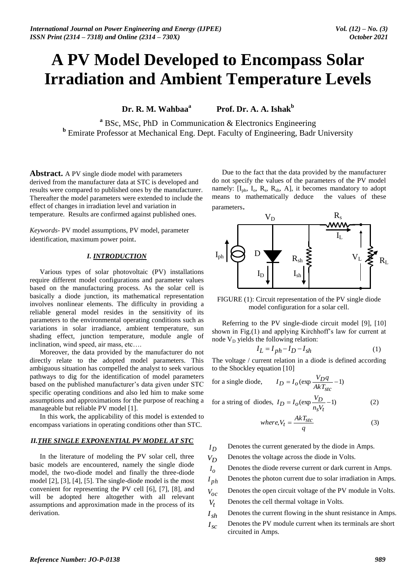# **A PV Model Developed to Encompass Solar Irradiation and Ambient Temperature Levels**

**Dr. R. M. Wahbaa<sup>a</sup> Prof. Dr. A. A. Ishak**<sup>b</sup>

**<sup>a</sup>** BSc, MSc, PhD in Communication & Electronics Engineering **b** Emirate Professor at Mechanical Eng. Dept. Faculty of Engineering, Badr University

**Abstract.** A PV single diode model with parameters derived from the manufacturer data at STC is developed and results were compared to published ones by the manufacturer. Thereafter the model parameters were extended to include the effect of changes in irradiation level and variation in temperature. Results are confirmed against published ones.

*Keywords*- PV model assumptions, PV model, parameter identification, maximum power point.

## *I. INTRODUCTION*

Various types of solar photovoltaic (PV) installations require different model configurations and parameter values based on the manufacturing process. As the solar cell is basically a diode junction, its mathematical representation involves nonlinear elements. The difficulty in providing a reliable general model resides in the sensitivity of its parameters to the environmental operating conditions such as variations in solar irradiance, ambient temperature, sun shading effect, junction temperature, module angle of inclination, wind speed, air mass, etc….

Moreover, the data provided by the manufacturer do not directly relate to the adopted model parameters. This ambiguous situation has compelled the analyst to seek various pathways to dig for the identification of model parameters based on the published manufacturer's data given under STC specific operating conditions and also led him to make some assumptions and approximations for the purpose of reaching a manageable but reliable PV model [1].

In this work, the applicability of this model is extended to encompass variations in operating conditions other than STC.

## *II.THE SINGLE EXPONENTIAL PV MODEL AT STC*

In the literature of modeling the PV solar cell, three basic models are encountered, namely the single diode model, the two-diode model and finally the three-diode model [2], [3], [4], [5]. The single-diode model is the most convenient for representing the PV cell [6], [7], [8], and will be adopted here altogether with all relevant assumptions and approximation made in the process of its derivation.

Due to the fact that the data provided by the manufacturer do not specify the values of the parameters of the PV model namely:  $[I_{ph}, I_o, R_s, R_{sh}, A]$ , it becomes mandatory to adopt means to mathematically deduce the values of these parameters.



FIGURE (1): Circuit representation of the PV single diode model configuration for a solar cell.

Referring to the PV single-diode circuit model [9], [10] shown in Fig.(1) and applying Kirchhoff"s law for current at node V<sub>D</sub> yields the following relation:

$$
I_L = I_{ph} - I_D - I_{sh} \tag{1}
$$

The voltage / current relation in a diode is defined according to the Shockley equation [10]

for a single diode, 
$$
I_D = I_o(\exp{\frac{V_D q}{AkT_{stc}}-1})
$$

for a string of diodes, 
$$
I_D = I_O(\exp \frac{V_D}{n_s V_t} - 1)
$$
 (2)

where, 
$$
V_t = \frac{AkT_{stc}}{q}
$$
 (3)

- $I_D$ Denotes the current generated by the diode in Amps.
- $V_D$ Denotes the voltage across the diode in Volts.
- *o I* Denotes the diode reverse current or dark current in Amps.
- $I_{ph}$ Denotes the photon current due to solar irradiation in Amps.
- *Voc* Denotes the open circuit voltage of the PV module in Volts.
- *Vt* Denotes the cell thermal voltage in Volts.
- $I_{\rm ch}$ Denotes the current flowing in the shunt resistance in Amps.
- $I_{sc}$ Denotes the PV module current when its terminals are short circuited in Amps.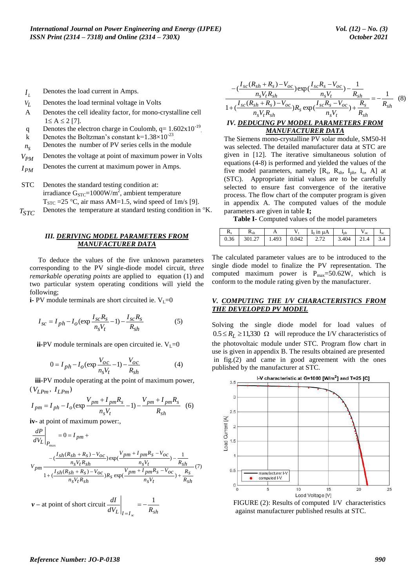- *L I* Denotes the load current in Amps.
- *VL* Denotes the load terminal voltage in Volts
- A Denotes the cell ideality factor, for mono-crystalline cell  $1 \leq A \leq 2$  [7].
- q Denotes the electron charge in Coulomb,  $q = 1.602 \times 10^{-19}$ .
- k Denotes the Boltzman's constant  $k=1.38\times10^{-23}$ .
- $n<sub>S</sub>$ Denotes the number of PV series cells in the module
- *VPM* Denotes the voltage at point of maximum power in Volts
- *IPM* Denotes the current at maximum power in Amps.
- STC Denotes the standard testing condition at: irradiance  $G_{STC} = 1000 W/m^2$ , ambient temperature  $T<sub>STC</sub> = 25 °C$ , air mass AM=1.5, wind speed of 1m/s [9].
- *TSTC* Denotes the temperature at standard testing condition in  $\mathrm{R}$ .

#### *III. DERIVING MODEL PARAMETERS FROM MANUFACTURER DATA*

 To deduce the values of the five unknown parameters corresponding to the PV single-diode model circuit, t*hree remarkable operating points* are applied to equation (1) and two particular system operating conditions will yield the following;

**i-** PV module terminals are short circuited ie.  $V_L=0$ 

$$
I_{sc} = I_{ph} - I_o(\exp\frac{I_{sc}R_s}{n_sV_t} - 1) - \frac{I_{sc}R_s}{R_{sh}}
$$
(5)

**ii-**PV module terminals are open circuited ie.  $V<sub>L</sub>=0$ 

$$
0 = I_{ph} - I_o \left(\exp{\frac{V_{oc}}{n_s V_t}} - 1\right) - \frac{V_{oc}}{R_{sh}}
$$
(4)

 **iii-**PV module operating at the point of maximum power,  $(V_{LPm}, I_{LPm})$ 

$$
I_{pm} = I_{ph} - I_o (\exp \frac{V_{pm} + I_{pm} R_s}{n_s V_t} - 1) - \frac{V_{pm} + I_{pm} R_s}{R_{sh}} \quad (6)
$$

**iv-** at point of maximum power:,

$$
\frac{dP}{dV_L}\Big|_{P_{\text{max}}} = 0 = I_{pm} +
$$
\n
$$
V_{pm} = \frac{(-\frac{I_{sh}(R_{sh} + R_s) - V_{OC}}{n_s V_t R_{sh}}) \exp(\frac{V_{pm} + I_{pm} R_s - V_{OC}}{n_s V_t}) - \frac{1}{R_{sh}}}{1 + (\frac{I_{sh}(R_{sh} + R_s) - V_{OC}}{n_s V_t R_{sh}})R_s \exp(\frac{V_{pm} + I_{pm} R_s - V_{OC}}{n_s V_t}) + \frac{R_s}{R_{sh}}} (7)
$$

 $v -$  at point of short circuit  $\frac{di}{dV_L}\Big|_{I=I_{\infty}} = -\frac{1}{R_{sh}}$ *dI sc*  $=-\frac{1}{1}$  $=$ 

$$
-\left(\frac{I_{sc}(R_{sh}+R_s)-V_{oc}}{n_s V_t R_{sh}}\right) \exp\left(\frac{I_{sc}R_s-V_{oc}}{n_s V_t}\right) - \frac{1}{R_{sh}} - \frac{1}{1 + \left(\frac{I_{sc}(R_{sh}+R_s)-V_{oc}}{n_s V_t R_{sh}}\right)R_s \exp\left(\frac{I_{sc}R_s-V_{oc}}{n_s V_t}\right) + \frac{R_s}{R_{sh}} - \frac{1}{R_{sh}}
$$
\n*IV. DEDUCING PV MODEL PARAMETERS FROM*\n*MANUEACTURER DATA*

The Siemens mono-crystalline PV solar module, SM50-H was selected. The detailed manufacturer data at STC are given in [12]. The iterative simultaneous solution of equations (4-8) is performed and yielded the values of the five model parameters, namely  $[R_s, R_{sh}, I_{ph}, I_o, A]$  at (STC). Appropriate initial values are to be carefully selected to ensure fast convergence of the iterative process. The flow chart of the computer program is given in appendix A. The computed values of the module parameters are given in table **I;**

**Table I-** Computed values of the model parameters

| $\rm R_{\rm c}$ | $R_{sh}$                        |  | $\ln \ln u$ A | $I_{\rm ph}$               | $V_{oc}$ | $\mathbf{I}_{\rm SC}$ |
|-----------------|---------------------------------|--|---------------|----------------------------|----------|-----------------------|
|                 | $0.36$   301.27   1.493   0.042 |  | 2.72          | $\vert$ 3.404   21.4   3.4 |          |                       |

The calculated parameter values are to be introduced to the single diode model to finalize the PV representation. The computed maximum power is  $P_{\text{max}} = 50.62W$ , which is conform to the module rating given by the manufacturer.

#### *V. COMPUTING THE I/V CHARACTERISTICS FROM THE DEVELOPED PV MODEL*

Solving the single diode model for load values of  $0.5 \le R_I \ge 11,330 \Omega$  will reproduce the I/V characteristics of the photovoltaic module under STC. Program flow chart in use is given in appendix B. The results obtained are presented in fig.(2) and came in good agreement with the ones published by the manufacturer at STC.



 FIGURE (2): Results of computed I/V characteristics against manufacturer published results at STC.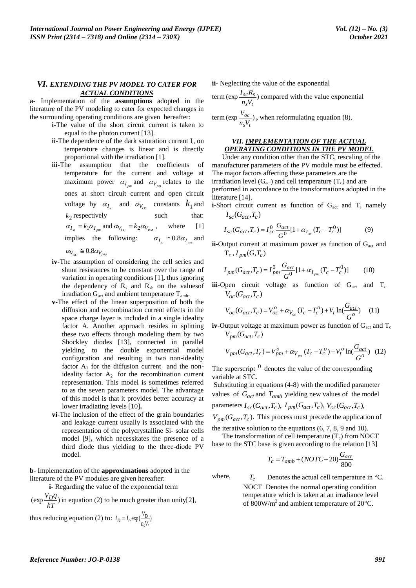#### *VI. EXTENDING THE PV MODEL TO CATER FOR ACTUAL CONDITIONS*

**a-** Implementation of the **assumptions** adopted in the literature of the PV modeling to cater for expected changes in the surrounding operating conditions are given hereafter:

- **i-**The value of the short circuit current is taken to equal to the photon current [13].
- **ii-**The dependence of the dark saturation current  $I_0$  on temperature changes is linear and is directly proportional with the irradiation [1].
- **iii-**The assumption that the coefficients of temperature for the current and voltage at maximum power  $\alpha_{I_{pm}}$  and  $\alpha_{V_{pm}}$  relates to the ones at short circuit current and open circuit voltage by  $\alpha_{I_{\infty}}$  and  $\alpha_{V_{OC}}$  constants  $k_1$  and  $k_2$  respectively such that:  $\alpha_{I_{\rm sc}} = k_1 \alpha_{I_{\rm pm}}$  and  $\alpha_{V_{\rm OC}} = k_2 \alpha_{V_{\rm PM}}$ , where [1] implies the following:  $\alpha_{I_{\rm sc}} \approx 0.8 \alpha_{I_{\rm pm}}$  and  $\alpha_{V_{OC}} \cong 0.8 \alpha_{V_{PM}}$
- **iv-**The assumption of considering the cell series and shunt resistances to be constant over the range of variation in operating conditions [1]**,** thus ignoring the dependency of  $R_s$  and  $R_{sh}$  on the values of irradiation  $G_{\text{act}}$  and ambient temperature  $T_{\text{amb}}$ .
- **v-**The effect of the linear superposition of both the diffusion and recombination current effects in the space charge layer is included in a single ideality factor A. Another approach resides in splitting these two effects through modeling them by two Shockley diodes [13], connected in parallel yielding to the double exponential model configuration and resulting in two non-ideality factor  $A_1$  for the diffusion current and the nonideality factor  $A_2$  for the recombination current representation. This model is sometimes referred to as the seven parameters model. The advantage of this model is that it provides better accuracy at lower irradiating levels [10]**.**
- **vi-**The inclusion of the effect of the grain boundaries and leakage current usually is associated with the representation of the polycrystalline Si- solar cells model [9]**,** which necessitates the presence of a third diode thus yielding to the three-diode PV model.

**b-** Implementation of the **approximations** adopted in the literature of the PV modules are given hereafter:

 **i-** Regarding the value of the exponential term

 $(\exp \frac{Y D Y}{I})$ *kT*  $\frac{V_{D}q}{I_{D}}$  in equation (2) to be much greater than unity[2],

thus reducing equation (2) to:  $I_D = I_o \exp(\frac{Y_D}{Y_o})$ *s t*  $D = I_o \exp(\frac{v_D}{n_s V_t})$  $I_D = I_o \exp(\frac{V_I}{V}$ 

**ii-** Neglecting the value of the exponential

term (exp 
$$
\frac{I_{sc}R_s}{n_sV_t}
$$
) compared with the value exponential  
term (exp  $\frac{V_{oc}}{n_sV_t}$ ), when reformulating equation (8).

#### *VII. IMPLEMENTATION OF THE ACTUAL OPERATING CONDITIONS IN THE PV MODEL*

Under any condition other than the STC, rescaling of the manufacturer parameters of the PV module must be effected. The major factors affecting these parameters are the irradiation level  $(G_{act})$  and cell temperature  $(T_c)$  and are performed in accordance to the transformations adopted in the literature [14].

**i-**Short circuit current as function of G<sub>act</sub> and T, namely  $I_{sc}(G_{act}, T_c)$ 

$$
I_{sc}(G_{act}, T_c) = I_{sc}^0 \frac{G_{act}}{G^0} [1 + \alpha_{I_{sc}} (T_c - T_c^0)]
$$
 (9)

**ii-**Output current at maximum power as function of G<sub>act</sub> and  $T_c$ ,  $I_{pm}(G, T_c)$ 

$$
I_{pm}(G_{act}, T_c) = I_{pm}^0 \frac{G_{act}}{G^0} [1 + \alpha_{I_{pm}} (T_c - T_c^0)]
$$
 (10)

**iii-**Open circuit voltage as function of  $G_{\text{act}}$  and  $T_c$  $V_{oc}(G_{act}, T_c)$ 

$$
V_{oc}(G_{act}, T_c) = V_{oc}^o + \alpha_{V_{oc}} (T_c - T_c^o) + V_t \ln(\frac{G_{act}}{G_o})
$$
 (11)

**iv-**Output voltage at maximum power as function of  $G_{\text{act}}$  and  $T_c$  $V_{nm}(G_{act}, T_c)$ 

$$
V_{pm}(G_{act}, T_c) = V_{pm}^o + \alpha_{V_{pm}}(T_c - T_c^o) + V_t^o \ln(\frac{G_{act}}{G^o})
$$
 (12)

The superscript  $\theta$  denotes the value of the corresponding variable at STC.

Substituting in equations (4-8) with the modified parameter values of  $G_{act}$  and  $T_{amb}$  yielding new values of the model parameters  $I_{sc}(G_{act}, T_c)$ ,  $I_{pm}(G_{act}, T_c)$ ,  $V_{oc}(G_{act}, T_c)$ ,  $V_{pm}(G_{act}, T_c)$ . This process must precede the application of

the iterative solution to the equations (6, 7, 8, 9 and 10). The transformation of cell temperature  $(T_c)$  from NOCT

base to the STC base is given according to the relation [13]

$$
T_c = T_{amb} + (NOTC - 20)\frac{G_{act}}{800}
$$

 $\ddot{\phantom{0}}$ 

where,  $T_c$ 

Denotes the actual cell temperature in  $\mathrm{C}$ . NOCT Denotes the normal operating condition temperature which is taken at an irradiance level of 800W/m<sup>2</sup> and ambient temperature of 20 $^{\circ}$ C.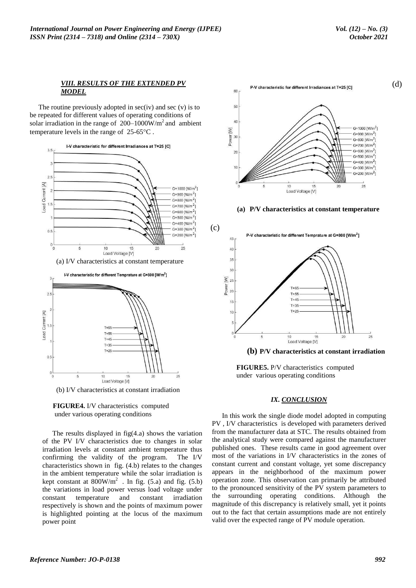(d)

#### *VIII. RESULTS OF THE EXTENDED PV MODEL*

The routine previously adopted in  $sec(iv)$  and  $sec(v)$  is to be repeated for different values of operating conditions of solar irradiation in the range of  $200-1000$ W/m<sup>2</sup> and ambient temperature levels in the range of  $25-65$ °C.



(a) I/V characteristics at constant temperature



(b) I/V characteristics at constant irradiation



The results displayed in  $fig(4.a)$  shows the variation of the PV I/V characteristics due to changes in solar irradiation levels at constant ambient temperature thus confirming the validity of the program. The I/V characteristics shown in fig. (4.b) relates to the changes in the ambient temperature while the solar irradiation is kept constant at  $800W/m^2$ . In fig. (5.a) and fig. (5.b) the variations in load power versus load voltage under constant temperature and constant irradiation respectively is shown and the points of maximum power is highlighted pointing at the locus of the maximum power point



**(a) P/V characteristics at constant temperature**



**(b) P/V characteristics at constant irradiation**

 **FIGURE5.** P/V characteristics computed under various operating conditions

#### *IX. CONCLUSION*

In this work the single diode model adopted in computing PV , I/V characteristics is developed with parameters derived from the manufacturer data at STC. The results obtained from the analytical study were compared against the manufacturer published ones. These results came in good agreement over most of the variations in I/V characteristics in the zones of constant current and constant voltage, yet some discrepancy appears in the neighborhood of the maximum power operation zone. This observation can primarily be attributed to the pronounced sensitivity of the PV system parameters to the surrounding operating conditions. Although the magnitude of this discrepancy is relatively small, yet it points out to the fact that certain assumptions made are not entirely valid over the expected range of PV module operation.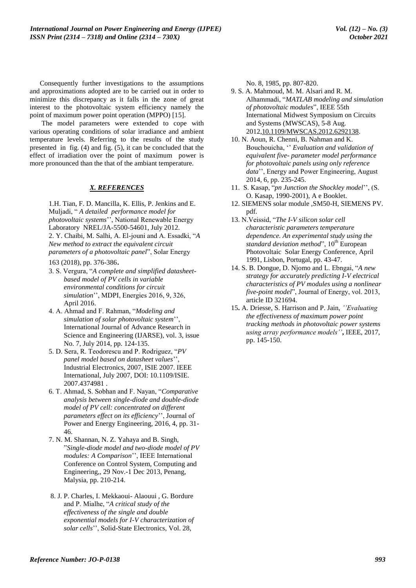Consequently further investigations to the assumptions and approximations adopted are to be carried out in order to minimize this discrepancy as it falls in the zone of great interest to the photovoltaic system efficiency namely the point of maximum power point operation (MPPO) [15].

The model parameters were extended to cope with various operating conditions of solar irradiance and ambient temperature levels. Referring to the results of the study presented in fig. (4) and fig. (5), it can be concluded that the effect of irradiation over the point of maximum power is more pronounced than the that of the ambiant temperature.

#### *X. REFERENCES*

1.H. Tian, F. D. Mancilla, K. Ellis, P. Jenkins and E. Muljadi, " *A detailed performance model for photovoltaic systems*"", National Renewable Energy Laboratory NREL/JA-5500-54601, July 2012. 2. Y. Chaibi, M. Salhi, A. El-jouni and A. Essadki, "*A New method to extract the equivalent circuit parameters of a photovoltaic panel*", Solar Energy

163 (2018), pp. 376-386.

- 3. S. Vergura, "*A complete and simplified datasheetbased model of PV cells in variable environmental conditions for circuit simulation*"", MDPI, Energies 2016, 9, 326, April 2016.
- 4. A. Ahmad and F. Rahman, "*Modeling and simulation of solar photovoltaic system*"", International Journal of Advance Research in Science and Engineering (IJARSE), vol. 3, issue No. 7, July 2014, pp. 124-135.
- 5. D. Sera, R. Teodorescu and P. Rodriguez, "*PV*  panel model based on datasheet values' Industrial Electronics, 2007, ISIE 2007. IEEE International, July 2007, DOI: 10.1109/ISIE. 2007.4374981 .
- 6. T. Ahmad, S. Sobhan and F. Nayan, "*Comparative analysis between single-diode and double-diode model of PV cell: concentrated on different*  parameters effect on its efficiency", Journal of Power and Energy Engineering, 2016, 4, pp. 31- 46.
- 7. N. M. Shannan, N. Z. Yahaya and B. Singh, "*Single-diode model and two-diode model of PV modules: A Comparison*"", IEEE International Conference on Control System, Computing and Engineering,, 29 Nov.-1 Dec 2013, Penang, Malysia, pp. 210-214.
- 8. J. P. Charles, I. Mekkaoui- Alaouui , G. Bordure and P. Mialhe, "*A critical study of the effectiveness of the single and double exponential models for I-V characterization of solar cells*"", Solid-State Electronics, Vol. 28,

No. 8, 1985, pp. 807-820.

- 9. S. A. Mahmoud, M. M. Alsari and R. M. Alhammadi, "*MATLAB modeling and simulation of photovoltaic modules*", [IEEE 55th](https://ieeexplore.ieee.org/xpl/mostRecentIssue.jsp?punumber=6276898)  [International Midwest Symposium on Circuits](https://ieeexplore.ieee.org/xpl/mostRecentIssue.jsp?punumber=6276898)  [and Systems \(MWSCAS\),](https://ieeexplore.ieee.org/xpl/mostRecentIssue.jsp?punumber=6276898) 5-8 Aug. 2012[,10.1109/MWSCAS.2012.6292138.](https://doi.org/10.1109/MWSCAS.2012.6292138)
- 10. N. Aoun, R. Chenni, B. Nahman and K. Bouchouicha, " *Evaluation and validation of equivalent five- parameter model performance for photovoltaic panels using only reference*  data", Energy and Power Engineering, August 2014, 6, pp. 235-245.
- 11. S. Kasap, "*pn Junction the Shockley model*", (S. O. Kasap, 1990-2001), A e Booklet.
- 12. SIEMENS solar module ,SM50-H, SIEMENS PV. pdf.
- 13. N.Veissid, "*The I-V silicon solar cell characteristic parameters temperature dependence. An experimental study using the standard deviation method*", 10<sup>th</sup> European Photovoltaic Solar Energy Conference, April 1991, Lisbon, Portugal, pp. 43-47.
- 14. S. B. Dongue, D. Njomo and L. Ebngai, "*A new strategy for accurately predicting I-V electrical characteristics of PV modules using a nonlinear five-point model*", Journal of Energy, vol. 2013, article ID 321694.
- 15**.** A. Driesse, S. Harrison and P. Jain, *''Evaluating the effectiveness of maximum power point tracking methods in photovoltaic power systems using array performance models''***,** IEEE, 2017, pp. 145-150.